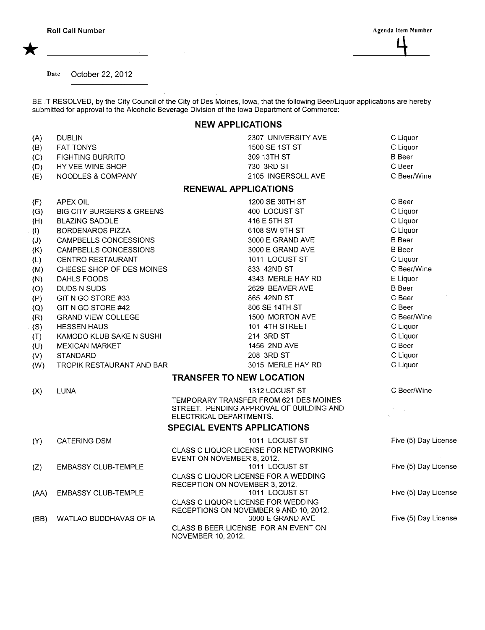Date October 22, 2012

BE IT RESOLVED, by the City Council of the City of Des Moines, Iowa, that the following Beer/Liquor applications are hereby submitted for approval to the Alcoholic Beverage Division of the Iowa Department of Commerce:

## NEW APPLICATIONS

| (A)<br>(B)<br>(C) | <b>DUBLIN</b><br><b>FAT TONYS</b><br><b>FIGHTING BURRITO</b> | 2307 UNIVERSITY AVE<br>1500 SE 1ST ST<br>309 13TH ST                   | C Liquor<br>C Liquor<br><b>B</b> Beer |
|-------------------|--------------------------------------------------------------|------------------------------------------------------------------------|---------------------------------------|
| (D)<br>(E)        | HY VEE WINE SHOP<br>NOODLES & COMPANY                        | 730 3RD ST<br>2105 INGERSOLL AVE                                       | C Beer<br>C Beer/Wine                 |
|                   |                                                              | <b>RENEWAL APPLICATIONS</b>                                            |                                       |
| (F)               | APEX OIL                                                     | 1200 SE 30TH ST                                                        | C Beer                                |
| (G)               | <b>BIG CITY BURGERS &amp; GREENS</b>                         | 400 LOCUST ST                                                          | C Liquor                              |
| (H)               | <b>BLAZING SADDLE</b>                                        | 416 E 5TH ST                                                           | C Liquor                              |
| (1)               | <b>BORDENAROS PIZZA</b>                                      | 6108 SW 9TH ST                                                         | C Liquor                              |
| (J)               | CAMPBELLS CONCESSIONS                                        | 3000 E GRAND AVE                                                       | <b>B</b> Beer                         |
| (K)               | CAMPBELLS CONCESSIONS                                        | 3000 E GRAND AVE                                                       | <b>B</b> Beer                         |
| (L)               | <b>CENTRO RESTAURANT</b>                                     | 1011 LOCUST ST                                                         | C Liquor                              |
| (M)               | CHEESE SHOP OF DES MOINES                                    | 833 42ND ST                                                            | C Beer/Wine                           |
| (N)               | DAHLS FOODS                                                  | 4343 MERLE HAY RD                                                      | E Liquor                              |
| (O)               | DUDS N SUDS                                                  | 2629 BEAVER AVE                                                        | <b>B</b> Beer                         |
| (P)               | GIT N GO STORE #33                                           | 865 42ND ST                                                            | C Beer                                |
| (Q)               | GIT N GO STORE #42                                           | 806 SE 14TH ST                                                         | C Beer                                |
| (R)               | <b>GRAND VIEW COLLEGE</b>                                    | 1500 MORTON AVE                                                        | C Beer/Wine                           |
| (S)               | <b>HESSEN HAUS</b>                                           | 101 4TH STREET                                                         | C Liquor                              |
| (T)               | KAMODO KLUB SAKE N SUSHI                                     | 214 3RD ST                                                             | C Liquor                              |
| (U)               | <b>MEXICAN MARKET</b>                                        | 1456 2ND AVE                                                           | C Beer                                |
| (V)               | <b>STANDARD</b>                                              | 208 3RD ST                                                             | C Liquor                              |
| (W)               | TROPIK RESTAURANT AND BAR                                    | 3015 MERLE HAY RD                                                      | C Liquor                              |
|                   |                                                              | <b>TRANSFER TO NEW LOCATION</b>                                        |                                       |
| (X)               | <b>LUNA</b>                                                  | 1312 LOCUST ST                                                         | C Beer/Wine                           |
|                   |                                                              | TEMPORARY TRANSFER FROM 621 DES MOINES                                 |                                       |
|                   |                                                              | STREET. PENDING APPROVAL OF BUILDING AND<br>ELECTRICAL DEPARTMENTS.    |                                       |
|                   |                                                              | <b>SPECIAL EVENTS APPLICATIONS</b>                                     |                                       |
| (Y)               | <b>CATERING DSM</b>                                          | 1011 LOCUST ST                                                         | Five (5) Day License                  |
|                   |                                                              | CLASS C LIQUOR LICENSE FOR NETWORKING                                  |                                       |
|                   |                                                              | EVENT ON NOVEMBER 8, 2012.                                             |                                       |
| (Z)               | <b>EMBASSY CLUB-TEMPLE</b>                                   | 1011 LOCUST ST                                                         | Five (5) Day License                  |
|                   |                                                              | CLASS C LIQUOR LICENSE FOR A WEDDING<br>RECEPTION ON NOVEMBER 3, 2012. |                                       |
| (AA)              | <b>EMBASSY CLUB-TEMPLE</b>                                   | 1011 LOCUST ST                                                         | Five (5) Day License                  |
|                   |                                                              | CLASS C LIQUOR LICENSE FOR WEDDING                                     |                                       |
|                   |                                                              | RECEPTIONS ON NOVEMBER 9 AND 10, 2012.                                 |                                       |
| (BB)              | WATLAO BUDDHAVAS OF IA                                       | 3000 E GRAND AVE                                                       | Five (5) Day License                  |
|                   |                                                              | CLASS B BEER LICENSE FOR AN EVENT ON<br>NOVEMBER 10, 2012.             |                                       |